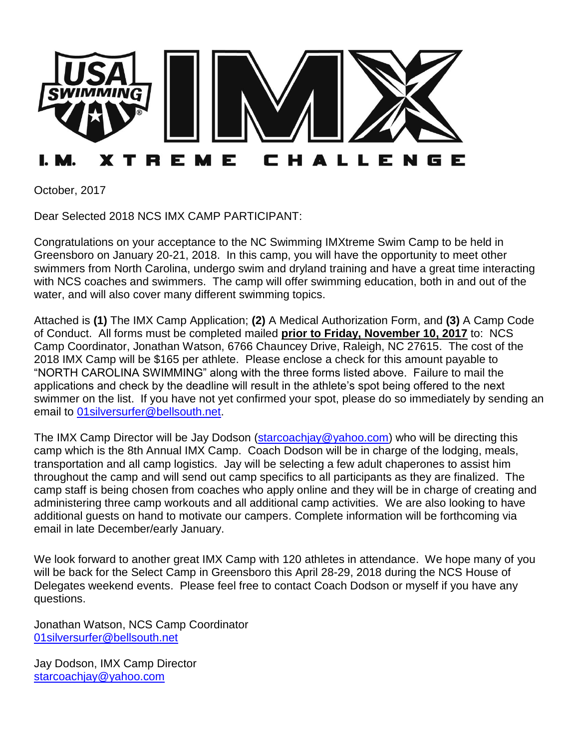

October, 2017

Dear Selected 2018 NCS IMX CAMP PARTICIPANT:

Congratulations on your acceptance to the NC Swimming IMXtreme Swim Camp to be held in Greensboro on January 20-21, 2018. In this camp, you will have the opportunity to meet other swimmers from North Carolina, undergo swim and dryland training and have a great time interacting with NCS coaches and swimmers. The camp will offer swimming education, both in and out of the water, and will also cover many different swimming topics.

Attached is **(1)** The IMX Camp Application; **(2)** A Medical Authorization Form, and **(3)** A Camp Code of Conduct. All forms must be completed mailed **prior to Friday, November 10, 2017** to: NCS Camp Coordinator, Jonathan Watson, 6766 Chauncey Drive, Raleigh, NC 27615. The cost of the 2018 IMX Camp will be \$165 per athlete. Please enclose a check for this amount payable to "NORTH CAROLINA SWIMMING" along with the three forms listed above. Failure to mail the applications and check by the deadline will result in the athlete's spot being offered to the next swimmer on the list. If you have not yet confirmed your spot, please do so immediately by sending an email to [01silversurfer@bellsouth.net.](mailto:01silversurfer@bellsouth.net)

The IMX Camp Director will be Jay Dodson [\(starcoachjay@yahoo.com\)](mailto:starcoachjay@yahoo.com) who will be directing this camp which is the 8th Annual IMX Camp. Coach Dodson will be in charge of the lodging, meals, transportation and all camp logistics. Jay will be selecting a few adult chaperones to assist him throughout the camp and will send out camp specifics to all participants as they are finalized. The camp staff is being chosen from coaches who apply online and they will be in charge of creating and administering three camp workouts and all additional camp activities. We are also looking to have additional guests on hand to motivate our campers. Complete information will be forthcoming via email in late December/early January.

We look forward to another great IMX Camp with 120 athletes in attendance. We hope many of you will be back for the Select Camp in Greensboro this April 28-29, 2018 during the NCS House of Delegates weekend events. Please feel free to contact Coach Dodson or myself if you have any questions.

Jonathan Watson, NCS Camp Coordinator [01silversurfer@bellsouth.net](mailto:01silversurfer@bellsouth.net)

Jay Dodson, IMX Camp Director [starcoachjay@yahoo.com](mailto:starcoachjay@yahoo.com)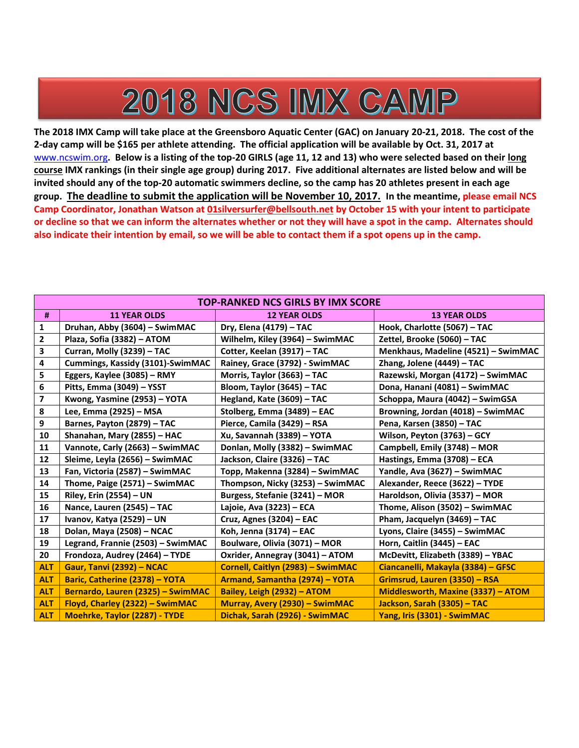# 2018 NCS IMX CAMP

**The 2018 IMX Camp will take place at the Greensboro Aquatic Center (GAC) on January 20-21, 2018. The cost of the 2-day camp will be \$165 per athlete attending. The official application will be available by Oct. 31, 2017 at**  [www.ncswim.org](http://www.ncswim.org/)**. Below is a listing of the top-20 GIRLS (age 11, 12 and 13) who were selected based on their long course IMX rankings (in their single age group) during 2017. Five additional alternates are listed below and will be invited should any of the top-20 automatic swimmers decline, so the camp has 20 athletes present in each age group. The deadline to submit the application will be November 10, 2017. In the meantime, please email NCS Camp Coordinator, Jonathan Watson at [01silversurfer@bellsouth.net](mailto:01silversurfer@bellsouth.net) by October 15 with your intent to participate or decline so that we can inform the alternates whether or not they will have a spot in the camp. Alternates should also indicate their intention by email, so we will be able to contact them if a spot opens up in the camp.**

|                         | <b>TOP-RANKED NCS GIRLS BY IMX SCORE</b> |                                   |                                     |  |  |
|-------------------------|------------------------------------------|-----------------------------------|-------------------------------------|--|--|
| #                       | <b>11 YEAR OLDS</b>                      | <b>12 YEAR OLDS</b>               | <b>13 YEAR OLDS</b>                 |  |  |
| $\mathbf{1}$            | Druhan, Abby (3604) - SwimMAC            | Dry, Elena (4179) - TAC           | Hook, Charlotte (5067) - TAC        |  |  |
| $\mathbf{2}$            | Plaza, Sofia (3382) - ATOM               | Wilhelm, Kiley (3964) - SwimMAC   | Zettel, Brooke (5060) - TAC         |  |  |
| 3                       | Curran, Molly (3239) - TAC               | Cotter, Keelan (3917) - TAC       | Menkhaus, Madeline (4521) - SwimMAC |  |  |
| 4                       | Cummings, Kassidy (3101)-SwimMAC         | Rainey, Grace (3792) - SwimMAC    | Zhang, Jolene (4449) - TAC          |  |  |
| 5                       | Eggers, Kaylee (3085) - RMY              | Morris, Taylor (3663) - TAC       | Razewski, Morgan (4172) - SwimMAC   |  |  |
| 6                       | Pitts, Emma (3049) - YSST                | Bloom, Taylor (3645) - TAC        | Dona, Hanani (4081) - SwimMAC       |  |  |
| $\overline{\mathbf{z}}$ | Kwong, Yasmine (2953) - YOTA             | Hegland, Kate (3609) - TAC        | Schoppa, Maura (4042) - SwimGSA     |  |  |
| 8                       | Lee, Emma (2925) - MSA                   | Stolberg, Emma (3489) - EAC       | Browning, Jordan (4018) - SwimMAC   |  |  |
| 9                       | Barnes, Payton (2879) - TAC              | Pierce, Camila (3429) - RSA       | Pena, Karsen (3850) - TAC           |  |  |
| 10                      | Shanahan, Mary (2855) - HAC              | Xu, Savannah (3389) - YOTA        | Wilson, Peyton (3763) - GCY         |  |  |
| 11                      | Vannote, Carly (2663) - SwimMAC          | Donlan, Molly (3382) - SwimMAC    | Campbell, Emily (3748) - MOR        |  |  |
| 12                      | Sleime, Leyla (2656) - SwimMAC           | Jackson, Claire (3326) - TAC      | Hastings, Emma (3708) - ECA         |  |  |
| 13                      | Fan, Victoria (2587) - SwimMAC           | Topp, Makenna (3284) - SwimMAC    | Yandle, Ava (3627) - SwimMAC        |  |  |
| 14                      | Thome, Paige (2571) - SwimMAC            | Thompson, Nicky (3253) - SwimMAC  | Alexander, Reece (3622) - TYDE      |  |  |
| 15                      | Riley, Erin (2554) - UN                  | Burgess, Stefanie (3241) - MOR    | Haroldson, Olivia (3537) - MOR      |  |  |
| 16                      | Nance, Lauren (2545) - TAC               | Lajoie, Ava (3223) - ECA          | Thome, Alison (3502) - SwimMAC      |  |  |
| 17                      | Ivanov, Katya (2529) - UN                | Cruz, Agnes (3204) - EAC          | Pham, Jacquelyn (3469) - TAC        |  |  |
| 18                      | Dolan, Maya (2508) - NCAC                | Koh, Jenna (3174) - EAC           | Lyons, Claire (3455) - SwimMAC      |  |  |
| 19                      | Legrand, Frannie (2503) - SwimMAC        | Boulware, Olivia (3071) - MOR     | Horn, Caitlin (3445) - EAC          |  |  |
| 20                      | Frondoza, Audrey (2464) - TYDE           | Oxrider, Annegray (3041) - ATOM   | McDevitt, Elizabeth (3389) - YBAC   |  |  |
| <b>ALT</b>              | Gaur, Tanvi (2392) - NCAC                | Cornell, Caitlyn (2983) - SwimMAC | Ciancanelli, Makayla (3384) - GFSC  |  |  |
| <b>ALT</b>              | Baric, Catherine (2378) - YOTA           | Armand, Samantha (2974) - YOTA    | Grimsrud, Lauren (3350) - RSA       |  |  |
| <b>ALT</b>              | Bernardo, Lauren (2325) - SwimMAC        | Bailey, Leigh (2932) - ATOM       | Middlesworth, Maxine (3337) - ATOM  |  |  |
| <b>ALT</b>              | Floyd, Charley (2322) - SwimMAC          | Murray, Avery (2930) - SwimMAC    | Jackson, Sarah (3305) - TAC         |  |  |
| <b>ALT</b>              | Moehrke, Taylor (2287) - TYDE            | Dichak, Sarah (2926) - SwimMAC    | Yang, Iris (3301) - SwimMAC         |  |  |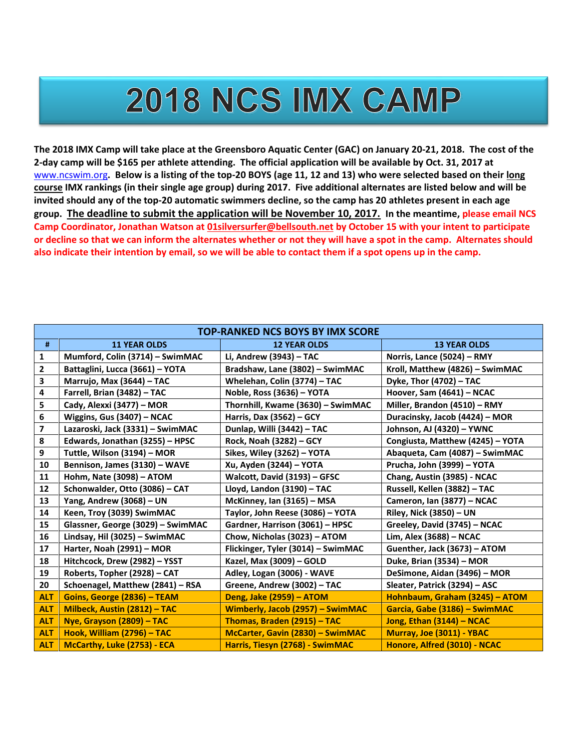## 2018 NCS IMX CAMP

**The 2018 IMX Camp will take place at the Greensboro Aquatic Center (GAC) on January 20-21, 2018. The cost of the 2-day camp will be \$165 per athlete attending. The official application will be available by Oct. 31, 2017 at**  [www.ncswim.org](http://www.ncswim.org/)**. Below is a listing of the top-20 BOYS (age 11, 12 and 13) who were selected based on their long course IMX rankings (in their single age group) during 2017. Five additional alternates are listed below and will be invited should any of the top-20 automatic swimmers decline, so the camp has 20 athletes present in each age group. The deadline to submit the application will be November 10, 2017. In the meantime, please email NCS Camp Coordinator, Jonathan Watson at [01silversurfer@bellsouth.net](mailto:01silversurfer@bellsouth.net) by October 15 with your intent to participate or decline so that we can inform the alternates whether or not they will have a spot in the camp. Alternates should also indicate their intention by email, so we will be able to contact them if a spot opens up in the camp.**

|                         | <b>TOP-RANKED NCS BOYS BY IMX SCORE</b> |                                    |                                  |  |  |
|-------------------------|-----------------------------------------|------------------------------------|----------------------------------|--|--|
| #                       | <b>11 YEAR OLDS</b>                     | <b>12 YEAR OLDS</b>                | <b>13 YEAR OLDS</b>              |  |  |
| $\mathbf 1$             | Mumford, Colin (3714) - SwimMAC         | Li, Andrew (3943) - TAC            | Norris, Lance (5024) - RMY       |  |  |
| $\mathbf{2}$            | Battaglini, Lucca (3661) - YOTA         | Bradshaw, Lane (3802) - SwimMAC    | Kroll, Matthew (4826) - SwimMAC  |  |  |
| 3                       | Marrujo, Max (3644) - TAC               | Whelehan, Colin (3774) - TAC       | Dyke, Thor (4702) - TAC          |  |  |
| $\pmb{4}$               | Farrell, Brian (3482) - TAC             | Noble, Ross (3636) - YOTA          | Hoover, Sam (4641) - NCAC        |  |  |
| 5                       | Cady, Alexxi (3477) - MOR               | Thornhill, Kwame (3630) - SwimMAC  | Miller, Brandon (4510) - RMY     |  |  |
| 6                       | Wiggins, Gus (3407) - NCAC              | Harris, Dax (3562) - GCY           | Duracinsky, Jacob (4424) - MOR   |  |  |
| $\overline{\mathbf{z}}$ | Lazaroski, Jack (3331) - SwimMAC        | Dunlap, Willi (3442) - TAC         | Johnson, AJ (4320) - YWNC        |  |  |
| 8                       | Edwards, Jonathan (3255) - HPSC         | Rock, Noah (3282) - GCY            | Congiusta, Matthew (4245) - YOTA |  |  |
| 9                       | Tuttle, Wilson (3194) - MOR             | Sikes, Wiley (3262) - YOTA         | Abaqueta, Cam (4087) - SwimMAC   |  |  |
| 10                      | Bennison, James (3130) - WAVE           | Xu, Ayden (3244) - YOTA            | Prucha, John (3999) - YOTA       |  |  |
| 11                      | Hohm, Nate (3098) - ATOM                | Walcott, David (3193) - GFSC       | Chang, Austin (3985) - NCAC      |  |  |
| 12                      | Schonwalder, Otto (3086) - CAT          | Lloyd, Landon (3190) - TAC         | Russell, Kellen (3882) - TAC     |  |  |
| 13                      | Yang, Andrew (3068) - UN                | McKinney, Ian (3165) - MSA         | Cameron, Ian (3877) - NCAC       |  |  |
| 14                      | Keen, Troy (3039) SwimMAC               | Taylor, John Reese (3086) - YOTA   | <b>Riley, Nick (3850) - UN</b>   |  |  |
| 15                      | Glassner, George (3029) - SwimMAC       | Gardner, Harrison (3061) - HPSC    | Greeley, David (3745) - NCAC     |  |  |
| 16                      | Lindsay, Hil (3025) - SwimMAC           | Chow, Nicholas (3023) - ATOM       | Lim, Alex (3688) - NCAC          |  |  |
| 17                      | Harter, Noah (2991) - MOR               | Flickinger, Tyler (3014) - SwimMAC | Guenther, Jack (3673) - ATOM     |  |  |
| 18                      | Hitchcock, Drew (2982) - YSST           | Kazel, Max (3009) - GOLD           | Duke, Brian (3534) - MOR         |  |  |
| 19                      | Roberts, Topher (2928) - CAT            | Adley, Logan (3006) - WAVE         | DeSimone, Aidan (3496) - MOR     |  |  |
| 20                      | Schoenagel, Matthew (2841) - RSA        | Greene, Andrew (3002) - TAC        | Sleater, Patrick (3294) - ASC    |  |  |
| <b>ALT</b>              | Goins, George (2836) - TEAM             | Deng, Jake (2959) - ATOM           | Hohnbaum, Graham (3245) - ATOM   |  |  |
| <b>ALT</b>              | Milbeck, Austin (2812) - TAC            | Wimberly, Jacob (2957) - SwimMAC   | Garcia, Gabe (3186) - SwimMAC    |  |  |
| <b>ALT</b>              | Nye, Grayson (2809) - TAC               | Thomas, Braden (2915) - TAC        | Jong, Ethan (3144) - NCAC        |  |  |
| <b>ALT</b>              | Hook, William (2796) - TAC              | McCarter, Gavin (2830) - SwimMAC   | Murray, Joe (3011) - YBAC        |  |  |
| <b>ALT</b>              | McCarthy, Luke (2753) - ECA             | Harris, Tiesyn (2768) - SwimMAC    | Honore, Alfred (3010) - NCAC     |  |  |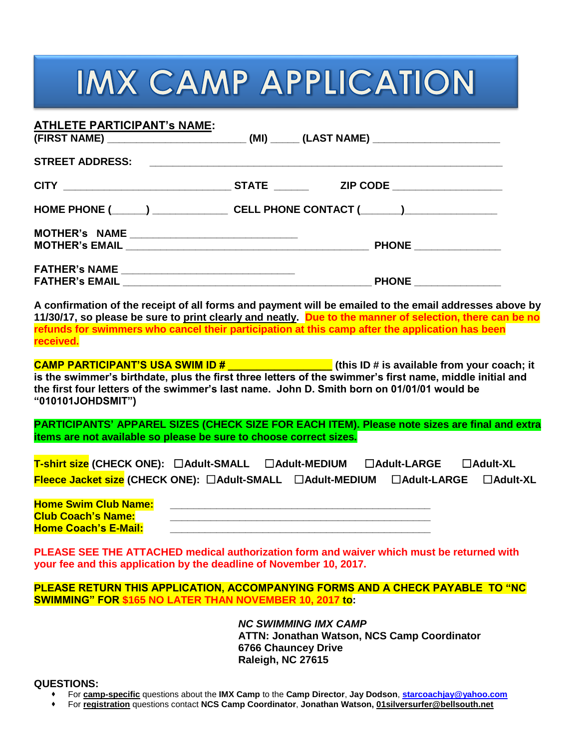# **IMX CAMP APPLICATION**

| <u>ATHLETE PARTICIPANT's NAME:</u>                | (FIRST NAME) _____________________________(MI) ______ (LAST NAME) _____________________ |
|---------------------------------------------------|-----------------------------------------------------------------------------------------|
|                                                   |                                                                                         |
|                                                   |                                                                                         |
|                                                   | HOME PHONE (______) _________________ CELL PHONE CONTACT (______)_______________        |
| MOTHER's NAME __________________________________  |                                                                                         |
|                                                   |                                                                                         |
| FATHER's NAME ___________________________________ |                                                                                         |
|                                                   | <b>PHONE _______________</b> _                                                          |

**A confirmation of the receipt of all forms and payment will be emailed to the email addresses above by 11/30/17, so please be sure to print clearly and neatly. Due to the manner of selection, there can be no refunds for swimmers who cancel their participation at this camp after the application has been received.**

**CAMP PARTICIPANT'S USA SWIM ID # \_\_\_\_\_\_\_\_\_\_\_\_\_\_\_\_\_\_ (this ID # is available from your coach; it is the swimmer's birthdate, plus the first three letters of the swimmer's first name, middle initial and the first four letters of the swimmer's last name. John D. Smith born on 01/01/01 would be "010101JOHDSMIT")**

**PARTICIPANTS' APPAREL SIZES (CHECK SIZE FOR EACH ITEM). Please note sizes are final and extra items are not available so please be sure to choose correct sizes.**

| T-shirt size (CHECK ONE): □Adult-SMALL |                                                                           | $\Box$ Adult-MEDIUM | $\Box$ Adult-LARGE                 | $\square$ Adult-XL |
|----------------------------------------|---------------------------------------------------------------------------|---------------------|------------------------------------|--------------------|
|                                        | $F$ leece Jacket size (CHECK ONE): $\Box$ Adult-SMALL $\Box$ Adult-MEDIUM |                     | $\Box$ Adult-LARGE $\Box$ Adult-XL |                    |

| <b>Home Swim Club Name:</b> |  |
|-----------------------------|--|
| <b>Club Coach's Name:</b>   |  |
| <b>Home Coach's E-Mail:</b> |  |

**PLEASE SEE THE ATTACHED medical authorization form and waiver which must be returned with your fee and this application by the deadline of November 10, 2017.**

**PLEASE RETURN THIS APPLICATION, ACCOMPANYING FORMS AND A CHECK PAYABLE TO "NC SWIMMING" FOR \$165 NO LATER THAN NOVEMBER 10, 2017 to:**

> *NC SWIMMING IMX CAMP* **ATTN: Jonathan Watson, NCS Camp Coordinator 6766 Chauncey Drive Raleigh, NC 27615**

#### **QUESTIONS:**

- For **camp-specific** questions about the **IMX Camp** to the **Camp Director**, **Jay Dodson**, **[starcoachjay@yahoo.com](mailto:starcoachjay@yahoo.com)**
- For **registration** questions contact **NCS Camp Coordinator**, **Jonathan Watson, 01silversurfer@bellsouth.net**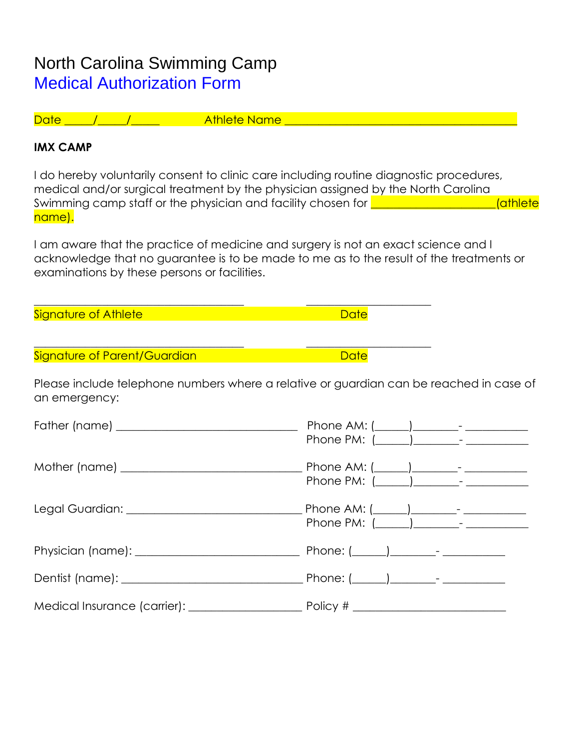### North Carolina Swimming Camp Medical Authorization Form

Date \_\_\_\_\_/\_\_\_\_\_/\_\_\_\_\_ Athlete Name \_\_\_\_\_\_\_\_\_\_\_\_\_\_\_\_\_\_\_\_\_\_\_\_\_\_\_\_\_\_\_\_\_\_\_\_\_\_\_\_\_

\_\_\_\_\_\_\_\_\_\_\_\_\_\_\_\_\_\_\_\_\_\_\_\_\_\_\_\_\_\_\_\_\_\_\_\_\_ \_\_\_\_\_\_\_\_\_\_\_\_\_\_\_\_\_\_\_\_\_\_

\_\_\_\_\_\_\_\_\_\_\_\_\_\_\_\_\_\_\_\_\_\_\_\_\_\_\_\_\_\_\_\_\_\_\_\_\_ \_\_\_\_\_\_\_\_\_\_\_\_\_\_\_\_\_\_\_\_\_\_

### **IMX CAMP**

I do hereby voluntarily consent to clinic care including routine diagnostic procedures, medical and/or surgical treatment by the physician assigned by the North Carolina Swimming camp staff or the physician and facility chosen for \_\_\_\_\_\_\_\_\_\_\_\_\_\_\_\_\_\_\_\_\_\_(athlete name).

I am aware that the practice of medicine and surgery is not an exact science and I acknowledge that no guarantee is to be made to me as to the result of the treatments or examinations by these persons or facilities.

Signature of Athlete Date Date Date Date Date

Signature of Parent/Guardian and Date and Date

Please include telephone numbers where a relative or guardian can be reached in case of an emergency: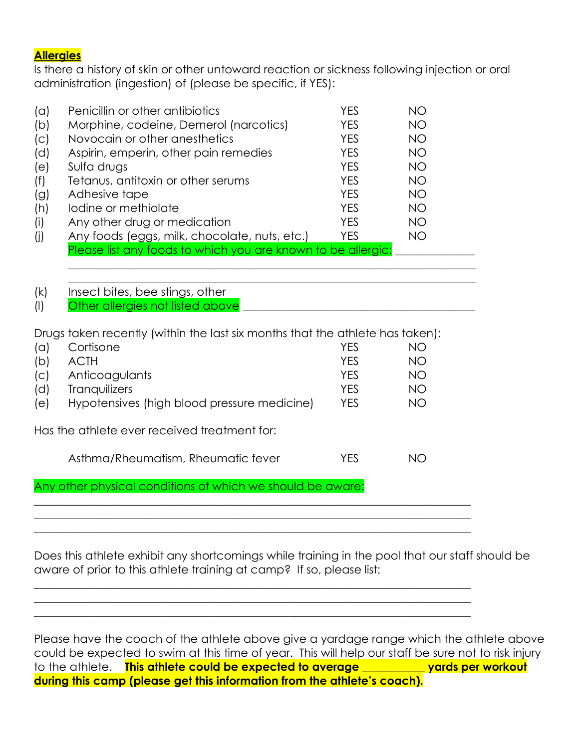#### **Allergies**

Is there a history of skin or other untoward reaction or sickness following injection or oral administration (ingestion) of (please be specific, if YES):

| (a) | Penicillin or other antibiotics                              | YES        | NО        |  |
|-----|--------------------------------------------------------------|------------|-----------|--|
| (b) | Morphine, codeine, Demerol (narcotics)                       | <b>YES</b> | NO.       |  |
| (C) | Novocain or other anesthetics                                | <b>YES</b> | <b>NO</b> |  |
| (d) | Aspirin, emperin, other pain remedies                        | <b>YES</b> | <b>NO</b> |  |
| (e) | Sulfa drugs                                                  | <b>YES</b> | NO        |  |
| (f) | Tetanus, antitoxin or other serums                           | <b>YES</b> | <b>NO</b> |  |
| (g) | Adhesive tape                                                | <b>YES</b> | <b>NO</b> |  |
| (h) | lodine or methiolate                                         | <b>YES</b> | <b>NO</b> |  |
| (i) | Any other drug or medication                                 | <b>YES</b> | NO.       |  |
| (i) | Any foods (eggs, milk, chocolate, nuts, etc.)                | <b>YES</b> | NO.       |  |
|     | Please list any foods to which you are known to be allergic: |            |           |  |
|     |                                                              |            |           |  |

| (k) | Insect bites, bee stings, other  |
|-----|----------------------------------|
|     | Other allergies not listed above |

Drugs taken recently (within the last six months that the athlete has taken):

| $(\alpha)$ | Cortisone                                   | YFS | NО |
|------------|---------------------------------------------|-----|----|
| (b)        | ACTH                                        | YES | NΟ |
| (C)        | Anticoagulants                              | YFS | NO |
| (d)        | <b>Tranquilizers</b>                        | YFS | NΟ |
| (e)        | Hypotensives (high blood pressure medicine) | YES | NΟ |
|            |                                             |     |    |

Has the athlete ever received treatment for:

| Asthma/Rheumatism, Rheumatic fever | <b>YES</b> | NO. |
|------------------------------------|------------|-----|
|------------------------------------|------------|-----|

 $\_$  , and the set of the set of the set of the set of the set of the set of the set of the set of the set of the set of the set of the set of the set of the set of the set of the set of the set of the set of the set of th

 $\_$  , and the set of the set of the set of the set of the set of the set of the set of the set of the set of the set of the set of the set of the set of the set of the set of the set of the set of the set of the set of th  $\_$  , and the set of the set of the set of the set of the set of the set of the set of the set of the set of the set of the set of the set of the set of the set of the set of the set of the set of the set of the set of th  $\_$  , and the set of the set of the set of the set of the set of the set of the set of the set of the set of the set of the set of the set of the set of the set of the set of the set of the set of the set of the set of th

 $\mathcal{L}_\mathcal{L} = \mathcal{L}_\mathcal{L} = \mathcal{L}_\mathcal{L} = \mathcal{L}_\mathcal{L} = \mathcal{L}_\mathcal{L} = \mathcal{L}_\mathcal{L} = \mathcal{L}_\mathcal{L} = \mathcal{L}_\mathcal{L} = \mathcal{L}_\mathcal{L} = \mathcal{L}_\mathcal{L} = \mathcal{L}_\mathcal{L} = \mathcal{L}_\mathcal{L} = \mathcal{L}_\mathcal{L} = \mathcal{L}_\mathcal{L} = \mathcal{L}_\mathcal{L} = \mathcal{L}_\mathcal{L} = \mathcal{L}_\mathcal{L}$ 

Any other physical conditions of which we should be aware:

Does this athlete exhibit any shortcomings while training in the pool that our staff should be aware of prior to this athlete training at camp? If so, please list:

Please have the coach of the athlete above give a yardage range which the athlete above could be expected to swim at this time of year. This will help our staff be sure not to risk injury to the athlete. **This athlete could be expected to average \_\_\_\_\_\_\_\_\_\_\_ yards per workout during this camp (please get this information from the athlete's coach).**